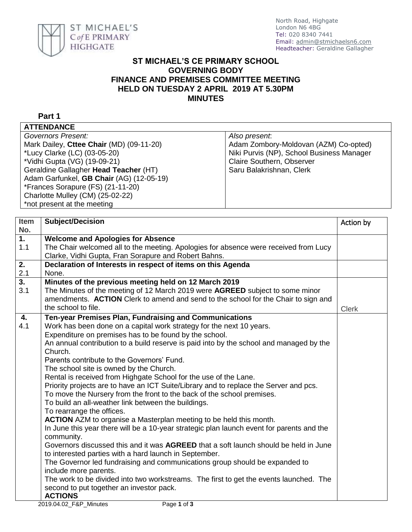

## **ST MICHAEL'S CE PRIMARY SCHOOL GOVERNING BODY FINANCE AND PREMISES COMMITTEE MEETING HELD ON TUESDAY 2 APRIL 2019 AT 5.30PM MINUTES**

**Part 1**

**ATTENDANCE**

| Governors Present:                       | Also present.                             |
|------------------------------------------|-------------------------------------------|
| Mark Dailey, Cttee Chair (MD) (09-11-20) | Adam Zombory-Moldovan (AZM) Co-opted)     |
| *Lucy Clarke (LC) (03-05-20)             | Niki Purvis (NP), School Business Manager |
| *Vidhi Gupta (VG) (19-09-21)             | Claire Southern, Observer                 |
| Geraldine Gallagher Head Teacher (HT)    | Saru Balakrishnan, Clerk                  |
| Adam Garfunkel, GB Chair (AG) (12-05-19) |                                           |
| *Frances Sorapure (FS) (21-11-20)        |                                           |
| Charlotte Mulley (CM) (25-02-22)         |                                           |
| *not present at the meeting              |                                           |
|                                          |                                           |

| <b>Item</b>      | <b>Subject/Decision</b>                                                                   | Action by    |
|------------------|-------------------------------------------------------------------------------------------|--------------|
| No.              |                                                                                           |              |
| $\overline{1}$ . | <b>Welcome and Apologies for Absence</b>                                                  |              |
| 1.1              | The Chair welcomed all to the meeting. Apologies for absence were received from Lucy      |              |
|                  | Clarke, Vidhi Gupta, Fran Sorapure and Robert Bahns.                                      |              |
| 2.               | Declaration of Interests in respect of items on this Agenda                               |              |
| 2.1              | None.                                                                                     |              |
| $\overline{3}$ . | Minutes of the previous meeting held on 12 March 2019                                     |              |
| 3.1              | The Minutes of the meeting of 12 March 2019 were AGREED subject to some minor             |              |
|                  | amendments. ACTION Clerk to amend and send to the school for the Chair to sign and        |              |
|                  | the school to file.                                                                       | <b>Clerk</b> |
| 4.               | Ten-year Premises Plan, Fundraising and Communications                                    |              |
| 4.1              | Work has been done on a capital work strategy for the next 10 years.                      |              |
|                  | Expenditure on premises has to be found by the school.                                    |              |
|                  | An annual contribution to a build reserve is paid into by the school and managed by the   |              |
|                  | Church.                                                                                   |              |
|                  | Parents contribute to the Governors' Fund.                                                |              |
|                  | The school site is owned by the Church.                                                   |              |
|                  | Rental is received from Highgate School for the use of the Lane.                          |              |
|                  | Priority projects are to have an ICT Suite/Library and to replace the Server and pcs.     |              |
|                  | To move the Nursery from the front to the back of the school premises.                    |              |
|                  | To build an all-weather link between the buildings.                                       |              |
|                  | To rearrange the offices.                                                                 |              |
|                  | <b>ACTION</b> AZM to organise a Masterplan meeting to be held this month.                 |              |
|                  | In June this year there will be a 10-year strategic plan launch event for parents and the |              |
|                  | community.                                                                                |              |
|                  | Governors discussed this and it was AGREED that a soft launch should be held in June      |              |
|                  | to interested parties with a hard launch in September.                                    |              |
|                  | The Governor led fundraising and communications group should be expanded to               |              |
|                  | include more parents.                                                                     |              |
|                  | The work to be divided into two workstreams. The first to get the events launched. The    |              |
|                  | second to put together an investor pack.                                                  |              |
|                  | <b>ACTIONS</b>                                                                            |              |
|                  | Page 1 of $3$<br>2019.04.02 F&P Minutes                                                   |              |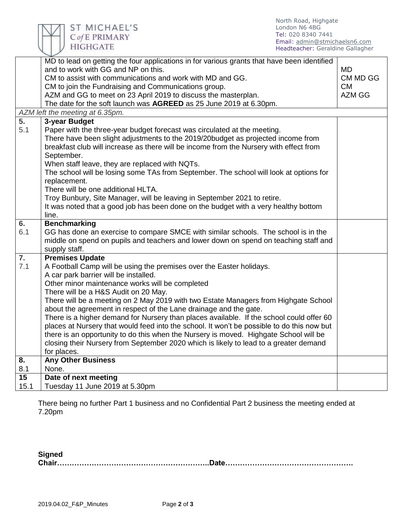| Email: admin@stmichaelsn6.com<br><b>HIGHGATE</b><br>Headteacher: Geraldine Gallagher<br>MD to lead on getting the four applications in for various grants that have been identified<br>and to work with GG and NP on this.<br><b>MD</b><br>CM to assist with communications and work with MD and GG.<br>CM MD GG<br>CM to join the Fundraising and Communications group.<br><b>CM</b><br>AZM and GG to meet on 23 April 2019 to discuss the masterplan.<br>AZM GG<br>The date for the soft launch was AGREED as 25 June 2019 at 6.30pm.<br>AZM left the meeting at 6.35pm.<br>3-year Budget<br>Paper with the three-year budget forecast was circulated at the meeting.<br>There have been slight adjustments to the 2019/20budget as projected income from<br>breakfast club will increase as there will be income from the Nursery with effect from<br>September.<br>When staff leave, they are replaced with NQTs.<br>The school will be losing some TAs from September. The school will look at options for<br>replacement.<br>There will be one additional HLTA.<br>Troy Bunbury, Site Manager, will be leaving in September 2021 to retire.<br>It was noted that a good job has been done on the budget with a very healthy bottom<br>line.<br>6.<br><b>Benchmarking</b><br>GG has done an exercise to compare SMCE with similar schools. The school is in the<br>middle on spend on pupils and teachers and lower down on spend on teaching staff and<br>supply staff.<br><b>Premises Update</b><br>A Football Camp will be using the premises over the Easter holidays.<br>A car park barrier will be installed.<br>Other minor maintenance works will be completed<br>There will be a H&S Audit on 20 May.<br>There will be a meeting on 2 May 2019 with two Estate Managers from Highgate School<br>about the agreement in respect of the Lane drainage and the gate.<br>There is a higher demand for Nursery than places available. If the school could offer 60<br>places at Nursery that would feed into the school. It won't be possible to do this now but<br>there is an opportunity to do this when the Nursery is moved. Highgate School will be<br>closing their Nursery from September 2020 which is likely to lead to a greater demand<br>for places.<br><b>Any Other Business</b><br>None.<br>Date of next meeting<br>Tuesday 11 June 2019 at 5.30pm |                           | C of E PRIMARY | Tel: 020 8340 7441 |  |
|----------------------------------------------------------------------------------------------------------------------------------------------------------------------------------------------------------------------------------------------------------------------------------------------------------------------------------------------------------------------------------------------------------------------------------------------------------------------------------------------------------------------------------------------------------------------------------------------------------------------------------------------------------------------------------------------------------------------------------------------------------------------------------------------------------------------------------------------------------------------------------------------------------------------------------------------------------------------------------------------------------------------------------------------------------------------------------------------------------------------------------------------------------------------------------------------------------------------------------------------------------------------------------------------------------------------------------------------------------------------------------------------------------------------------------------------------------------------------------------------------------------------------------------------------------------------------------------------------------------------------------------------------------------------------------------------------------------------------------------------------------------------------------------------------------------------------------------------------------------------------------------------------------------------------------------------------------------------------------------------------------------------------------------------------------------------------------------------------------------------------------------------------------------------------------------------------------------------------------------------------------------------------------------------------------------------------------------------------------------------------|---------------------------|----------------|--------------------|--|
|                                                                                                                                                                                                                                                                                                                                                                                                                                                                                                                                                                                                                                                                                                                                                                                                                                                                                                                                                                                                                                                                                                                                                                                                                                                                                                                                                                                                                                                                                                                                                                                                                                                                                                                                                                                                                                                                                                                                                                                                                                                                                                                                                                                                                                                                                                                                                                            |                           |                |                    |  |
|                                                                                                                                                                                                                                                                                                                                                                                                                                                                                                                                                                                                                                                                                                                                                                                                                                                                                                                                                                                                                                                                                                                                                                                                                                                                                                                                                                                                                                                                                                                                                                                                                                                                                                                                                                                                                                                                                                                                                                                                                                                                                                                                                                                                                                                                                                                                                                            |                           |                |                    |  |
|                                                                                                                                                                                                                                                                                                                                                                                                                                                                                                                                                                                                                                                                                                                                                                                                                                                                                                                                                                                                                                                                                                                                                                                                                                                                                                                                                                                                                                                                                                                                                                                                                                                                                                                                                                                                                                                                                                                                                                                                                                                                                                                                                                                                                                                                                                                                                                            | 5.<br>5.1                 |                |                    |  |
|                                                                                                                                                                                                                                                                                                                                                                                                                                                                                                                                                                                                                                                                                                                                                                                                                                                                                                                                                                                                                                                                                                                                                                                                                                                                                                                                                                                                                                                                                                                                                                                                                                                                                                                                                                                                                                                                                                                                                                                                                                                                                                                                                                                                                                                                                                                                                                            |                           |                |                    |  |
|                                                                                                                                                                                                                                                                                                                                                                                                                                                                                                                                                                                                                                                                                                                                                                                                                                                                                                                                                                                                                                                                                                                                                                                                                                                                                                                                                                                                                                                                                                                                                                                                                                                                                                                                                                                                                                                                                                                                                                                                                                                                                                                                                                                                                                                                                                                                                                            |                           |                |                    |  |
|                                                                                                                                                                                                                                                                                                                                                                                                                                                                                                                                                                                                                                                                                                                                                                                                                                                                                                                                                                                                                                                                                                                                                                                                                                                                                                                                                                                                                                                                                                                                                                                                                                                                                                                                                                                                                                                                                                                                                                                                                                                                                                                                                                                                                                                                                                                                                                            | 6.1                       |                |                    |  |
|                                                                                                                                                                                                                                                                                                                                                                                                                                                                                                                                                                                                                                                                                                                                                                                                                                                                                                                                                                                                                                                                                                                                                                                                                                                                                                                                                                                                                                                                                                                                                                                                                                                                                                                                                                                                                                                                                                                                                                                                                                                                                                                                                                                                                                                                                                                                                                            | $\overline{7}$ .          |                |                    |  |
|                                                                                                                                                                                                                                                                                                                                                                                                                                                                                                                                                                                                                                                                                                                                                                                                                                                                                                                                                                                                                                                                                                                                                                                                                                                                                                                                                                                                                                                                                                                                                                                                                                                                                                                                                                                                                                                                                                                                                                                                                                                                                                                                                                                                                                                                                                                                                                            | 7.1                       |                |                    |  |
|                                                                                                                                                                                                                                                                                                                                                                                                                                                                                                                                                                                                                                                                                                                                                                                                                                                                                                                                                                                                                                                                                                                                                                                                                                                                                                                                                                                                                                                                                                                                                                                                                                                                                                                                                                                                                                                                                                                                                                                                                                                                                                                                                                                                                                                                                                                                                                            | $\overline{\mathbf{8}}$ . |                |                    |  |
|                                                                                                                                                                                                                                                                                                                                                                                                                                                                                                                                                                                                                                                                                                                                                                                                                                                                                                                                                                                                                                                                                                                                                                                                                                                                                                                                                                                                                                                                                                                                                                                                                                                                                                                                                                                                                                                                                                                                                                                                                                                                                                                                                                                                                                                                                                                                                                            | 8.1                       |                |                    |  |
|                                                                                                                                                                                                                                                                                                                                                                                                                                                                                                                                                                                                                                                                                                                                                                                                                                                                                                                                                                                                                                                                                                                                                                                                                                                                                                                                                                                                                                                                                                                                                                                                                                                                                                                                                                                                                                                                                                                                                                                                                                                                                                                                                                                                                                                                                                                                                                            | $\overline{15}$           |                |                    |  |
|                                                                                                                                                                                                                                                                                                                                                                                                                                                                                                                                                                                                                                                                                                                                                                                                                                                                                                                                                                                                                                                                                                                                                                                                                                                                                                                                                                                                                                                                                                                                                                                                                                                                                                                                                                                                                                                                                                                                                                                                                                                                                                                                                                                                                                                                                                                                                                            | 15.1                      |                |                    |  |

North Road, Highgate London N6 4BG

There being no further Part 1 business and no Confidential Part 2 business the meeting ended at 7.20pm

**Signed Chair……………………………………………………..Date…………………………………………….**

NIA ST MICHAEL'S